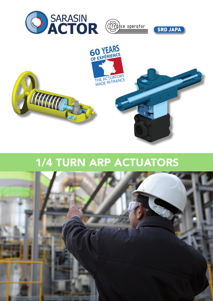

## 1/4 TURN ARP ACTUATORS